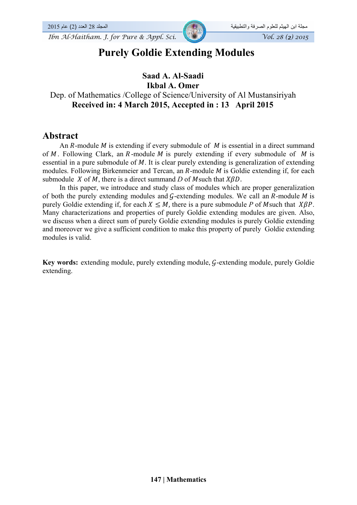

# **Purely Goldie Extending Modules**

#### **Saad A. Al-Saadi Ikbal A. Omer**

## Dep. of Mathematics /College of Science/University of Al Mustansiriyah  **Received in: 4 March 2015, Accepted in : 13 April 2015**

#### **Abstract**

An  $R$ -module  $M$  is extending if every submodule of  $M$  is essential in a direct summand of  $M$ . Following Clark, an  $R$ -module  $M$  is purely extending if every submodule of  $M$  is essential in a pure submodule of  $M$ . It is clear purely extending is generalization of extending modules. Following Birkenmeier and Tercan, an  $R$ -module  $M$  is Goldie extending if, for each submodule X of M, there is a direct summand D of M such that  $XBD$ .

In this paper, we introduce and study class of modules which are proper generalization of both the purely extending modules and  $G$ -extending modules. We call an  $R$ -module  $M$  is purely Goldie extending if, for each  $X \leq M$ , there is a pure submodule P of M such that  $X\beta P$ . Many characterizations and properties of purely Goldie extending modules are given. Also, we discuss when a direct sum of purely Goldie extending modules is purely Goldie extending and moreover we give a sufficient condition to make this property of purely Goldie extending modules is valid.

**Key words:** extending module, purely extending module, G-extending module, purely Goldie extending.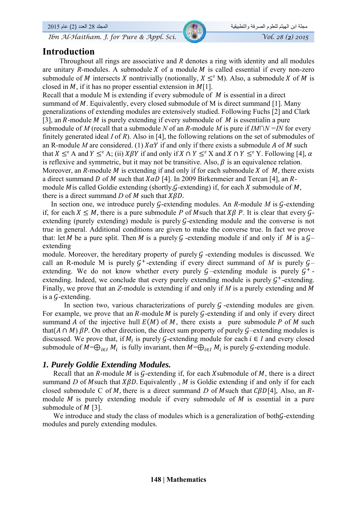#### **Introduction**

Throughout all rings are associative and *R* denotes a ring with identity and all modules are unitary *R*-modules. A submodule *X* of a module *M* is called essential if every non-zero submodule of M intersects X nontrivially (notionally,  $X \leq^e M$ ). Also, a submodule X of M is closed in M, if it has no proper essential extension in  $M[1]$ .

Recall that a module M is extending if every submodule of  $M$  is essential in a direct summand of  $M$ . Equivalently, every closed submodule of  $M$  is direct summand [1]. Many generalizations of extending modules are extensively studied. Following Fuchs [2] and Clark [3], an  $R$ -module  $M$  is purely extending if every submodule of  $M$  is essentialin a pure submodule of *M* (recall that a submodule *N* of an *R*-module *M* is pure if *IM∩N =IN* for every finitely generated ideal *I* of *R*). Also in [4], the following relations on the set of submodules of an R-module *M* are considered. (1)  $X\alpha Y$  if and only if there exists a submodule *A* of *M* such that  $X \leq^e A$  and  $Y \leq^e A$ ; (ii)  $X \beta Y$  if and only if  $X \cap Y \leq^e X$  and  $X \cap Y \leq^e Y$ . Following [4],  $\alpha$ is reflexive and symmetric, but it may not be transitive. Also,  $\beta$  is an equivalence relation. Moreover, an *R*-module  $M$  is extending if and only if for each submodule  $X$  of  $M$ , there exists a direct summand D of M such that  $X\alpha D$  [4]. In 2009 Birkenmeier and Tercan [4], an Rmodule M is called Goldie extending (shortly, G-extending) if, for each X submodule of M, there is a direct summand  $D$  of  $M$  such that  $X\beta D$ .

In section one, we introduce purely  $G$ -extending modules. An  $R$ -module  $M$  is  $G$ -extending if, for each  $X \leq M$ , there is a pure submodule P of M such that  $X\beta$  P. It is clear that every  $\mathcal{G}$ extending (purely extending) module is purely G-extending module and the converse is not true in general. Additional conditions are given to make the converse true. In fact we prove that: let M be a pure split. Then M is a purely G -extending module if and only if M is a  $G$ extending

module. Moreover, the hereditary property of purely  $G$  -extending modules is discussed. We call an R-module M is purely  $G^+$ -extending if every direct summand of *M* is purely  $G^$ extending. We do not know whether every purely  $G$ –extending module is purely  $G^+$ extending. Indeed, we conclude that every purely extending module is purely  $G^+$ -extending. Finally, we prove that an *Z*-module is extending if and only if *M* is a purely extending and *M* is a  $G$ -extending.

In section two, various characterizations of purely  $G$  -extending modules are given. For example, we prove that an  $R$ -module  $M$  is purely  $G$ -extending if and only if every direct summand A of the injective hull  $E(M)$  of M, there exists a pure submodule P of M such that( $A \cap M$ )  $\beta P$ . On other direction, the direct sum property of purely  $\mathcal{G}-$ extending modules is discussed. We prove that, if  $M_i$  is purely G-extending module for each  $i \in I$  and every closed submodule of  $M=\bigoplus_{i\in I} M_i$  is fully invariant, then  $M=\bigoplus_{i\in I} M_i$  is purely G-extending module.

#### *1. Purely Goldie Extending Modules.*

Recall that an  $R$ -module  $M$  is  $G$ -extending if, for each X submodule of  $M$ , there is a direct summand *D* of *M*such that  $X\beta D$ . Equivalently, *M* is Goldie extending if and only if for each closed submodule C of *M*, there is a direct summand *D* of *M*such that  $\widehat{CBD[4]}$ , Also, an *R*module  $M$  is purely extending module if every submodule of  $M$  is essential in a pure submodule of  $M$  [3].

We introduce and study the class of modules which is a generalization of both $\mathcal{G}$ -extending modules and purely extending modules.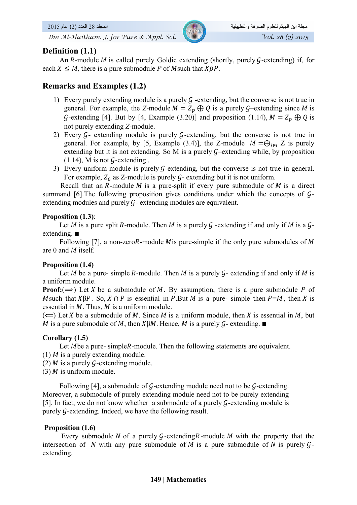#### **Definition (1.1)**

An R-module M is called purely Goldie extending (shortly, purely  $G$ -extending) if, for each  $X \leq M$ , there is a pure submodule P of M such that  $X\beta P$ .

### **Remarks and Examples (1.2)**

- 1) Every purely extending module is a purely  $\mathcal G$  -extending, but the converse is not true in general. For example, the *Z*-module  $M = Z_n \oplus Q$  is a purely  $G$ –extending since M is  $\mathcal G$ -extending [4]. But by [4, Example (3.20)] and proposition (1.14),  $M = Z_n \oplus Q$  is not purely extending *Z*-module.
- 2) Every  $G$  extending module is purely  $G$ -extending, but the converse is not true in general. For example, by [5, Example (3.4)], the Z-module  $M = \bigoplus_{i \in I} Z$  is purely extending but it is not extending. So M is a purely  $G$ –extending while, by proposition  $(1.14)$ , M is not G-extending.
- 3) Every uniform module is purely  $G$ -extending, but the converse is not true in general. For example,  $Z_6$  as Z-module is purely  $G$ - extending but it is not uniform.

Recall that an  $R$ -module  $M$  is a pure-split if every pure submodule of  $M$  is a direct summand [6]. The following proposition gives conditions under which the concepts of  $\mathcal{G}$ extending modules and purely  $G$ - extending modules are equivalent.

#### **Proposition (1.3)**:

Let M is a pure split R-module. Then M is a purely G -extending if and only if M is a  $\mathcal{G}$ extending. ■

Following [7], a non-zeroR-module M is pure-simple if the only pure submodules of M are 0 and  $M$  itself.

#### **Proposition (1.4)**

Let M be a pure- simple R-module. Then M is a purely  $G$ - extending if and only if M is a uniform module.

**Proof:**( $\Rightarrow$ ) Let *X* be a submodule of *M*. By assumption, there is a pure submodule *P* of M such that  $X\beta P$ . So,  $X \cap P$  is essential in P. But M is a pure- simple then  $P=M$ , then X is essential in  $M$ . Thus,  $M$  is a uniform module.

 $(\Leftarrow)$  Let X be a submodule of M. Since M is a uniform module, then X is essential in M, but *M* is a pure submodule of *M*, then *X* $\beta$ *M*. Hence, *M* is a purely *G*-extending. ■

#### **Corollary (1.5)**

Let Mbe a pure- simpleR-module. Then the following statements are equivalent.

- (1)  $M$  is a purely extending module.
- (2)  $M$  is a purely  $G$ -extending module.
- $(3)$  *M* is uniform module.

Following [4], a submodule of  $G$ -extending module need not to be  $G$ -extending. Moreover, a submodule of purely extending module need not to be purely extending [5]. In fact, we do not know whether a submodule of a purely  $G$ -extending module is purely G-extending. Indeed, we have the following result.

#### **Proposition (1.6)**

Every submodule N of a purely  $G$ -extending R-module M with the property that the intersection of N with any pure submodule of M is a pure submodule of N is purely  $\mathcal{G}$ extending.

#### **149 | Mathematics**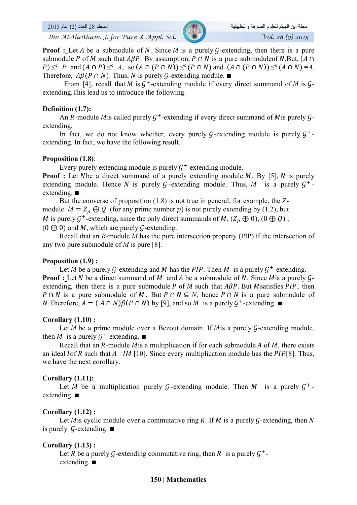**Proof :** Let A be a submodule of N. Since M is a purely G-extending, then there is a pure submodule P of M such that  $ABP$ . By assumption, P  $\cap$  N is a pure submoduleof N.But,  $(A \cap$  $P \leq^{\rm c} P$  and  $(A \cap P) \leq^{\rm c} A$ , so  $(A \cap (P \cap N)) \leq^{\rm c} (P \cap N)$  and  $(A \cap (P \cap N)) \leq^{\rm c} (A \cap N) = A$ . Therefore,  $A\beta(P \cap N)$ . Thus, N is purely G-extending module.  $\blacksquare$ 

From [4], recall that *M* is  $G^+$ -extending module if every direct summand of *M* is  $G$ extending.This lead us to introduce the following.

#### **Definition (1.7):**

An R-module M is called purely  $G^+$ -extending if every direct summand of M is purely  $G$ extending.

In fact, we do not know whether, every purely G-extending module is purely  $G^+$ extending. In fact, we have the following result.

#### **Proposition (1.8)**:

Every purely extending module is purely  $G^+$ -extending module.

**Proof :** Let Nbe a direct summand of a purely extending module M. By [5], N is purely extending module. Hence N is purely G-extending module. Thus, M is a purely  $G^+$ extending. ■

But the converse of proposition (1.8) is not true in general, for example, the Zmodule  $M = Z_n \oplus Q$  (for any prime number p) is not purely extending by (1.2), but M is purely  $\mathcal{G}^+$ -extending, since the only direct summands of M,  $(Z_p \oplus 0)$ ,  $(0 \oplus Q)$ ,  $(0 \oplus 0)$  and M, which are purely G-extending.

Recall that an *R*-module *M* has the pure intersection property (PIP) if the intersection of any two pure submodule of *M* is pure [8].

#### **Proposition (1.9) :**

Let *M* be a purely G-extending and *M* has the *PIP*. Then *M* is a purely  $G^+$ -extending. **Proof :** Let  $N$  be a direct summand of  $M$  and  $A$  be a submodule of  $N$ . Since  $M$ is a purely  $G$ extending, then there is a pure submodule  $P$  of  $M$  such that  $A\beta P$ . But  $M$  satisfies  $PIP$ , then  $P \cap N$  is a pure submodule of M, But  $P \cap N \subseteq N$ , hence  $P \cap N$  is a pure submodule of *N*. Therefore,  $A = (A \cap N)\beta(P \cap N)$  by [9], and so *M* is a purely  $G^+$ -extending. ■

#### **Corollary (1.10) :**

Let  $M$  be a prime module over a Bezout domain. If  $M$  is a purely  $G$ -extending module, then *M* is a purely  $G^+$ -extending.  $\blacksquare$ 

Recall that an R-module M is a multiplication if for each submodule A of M, there exists an ideal I of R such that  $A = IM$  [10]. Since every multiplication module has the PIP[8]. Thus, we have the next corollary.

#### **Corollary (1.11):**

Let M be a multiplication purely G-extending module. Then M is a purely  $G^+$ extending. ■

#### **Corollary (1.12) :**

Let M is cyclic module over a commutative ring R. If M is a purely  $G$ -extending, then N is purely G-extending.  $\blacksquare$ 

#### **Corollary (1.13) :**

Let R be a purely G-extending commutative ring, then R is a purely  $G^+$ extending. ■

#### **150 | Mathematics**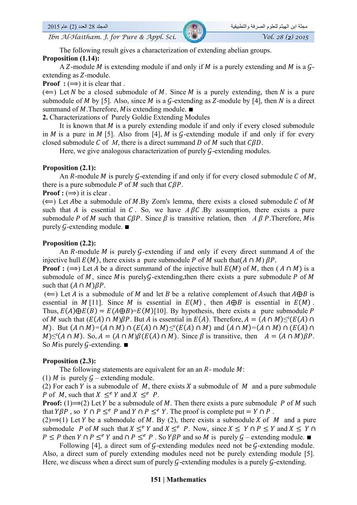The following result gives a characterization of extending abelian groups.

#### **Proposition (1.14):**

A Z-module *M* is extending module if and only if *M* is a purely extending and *M* is a  $\mathcal{G}$ extending as Z-module.

**Proof** :  $(\Rightarrow)$  it is clear that.

 $(\Leftarrow)$  Let N be a closed submodule of M. Since M is a purely extending, then N is a pure submodule of M by [5]. Also, since M is a G-extending as Z-module by [4], then N is a direct summand of *M*. Therefore, *M* is extending module.  $\blacksquare$ 

**2.** Characterizations of Purely Goldie Extending Modules

It is known that  $M$  is a purely extending module if and only if every closed submodule in  $M$  is a pure in  $M$  [5]. Also from [4],  $M$  is  $G$ -extending module if and only if for every closed submodule C of M, there is a direct summand D of M such that  $\mathcal{CBD}$ .

Here, we give analogous characterization of purely  $G$ -extending modules.

#### **Proposition (2.1):**

An R-module M is purely G-extending if and only if for every closed submodule C of M, there is a pure submodule P of M such that  $\mathcal{CB}P$ .

**Proof :**  $(\Rightarrow)$  it is clear.

 $(\Leftarrow)$  Let Abe a submodule of M.By Zorn's lemma, there exists a closed submodule C of M such that  $\vec{A}$  is essential in  $\vec{C}$ . So, we have  $\vec{A}$   $\vec{B}$   $\vec{C}$ . By assumption, there exists a pure submodule P of M such that  $\mathcal{C}\beta P$ . Since  $\beta$  is transitive relation, then A  $\beta$  P. Therefore, M is purely G-extending module.  $\blacksquare$ 

#### **Proposition (2.2):**

An R-module M is purely  $G$ -extending if and only if every direct summand A of the injective hull  $E(M)$ , there exists a pure submodule P of M such that  $(A \cap M)$   $\beta P$ .

**Proof :** ( $\implies$ ) Let A be a direct summand of the injective hull  $E(M)$  of M, then ( $A \cap M$ ) is a submodule of  $M$ , since  $M$  is purely $G$ -extending, then there exists a pure submodule P of  $M$ such that  $(A \cap M)\beta P$ .

 $(\Leftarrow)$  Let A is a submodule of M and let B be a relative complement of Asuch that  $A \oplus B$  is essential in  $M$  [11]. Since  $M$  is essential in  $E(M)$ , then  $A \oplus B$  is essential in  $E(M)$ . Thus,  $E(A) \oplus E(B) = E(A \oplus B) = E(M)$ [10]. By hypothesis, there exists a pure submodule P of M such that  $(E(A) \cap M)\beta P$ . But A is essential in  $E(A)$ . Therefore,  $A = (A \cap M) \leq^c (E(A) \cap M)$ M). But  $(A \cap M) = (A \cap M) \cap (E(A) \cap M) \leq^c (E(A) \cap M)$  and  $(A \cap M) = (A \cap M) \cap (E(A) \cap M)$  $M \leq^e (A \cap M)$ . So,  $A = (A \cap M) \beta (E(A) \cap M)$ . Since  $\beta$  is transitive, then  $A = (A \cap M) \beta P$ . So M is purely G-extending.  $\blacksquare$ 

#### **Proposition (2.3):**

The following statements are equivalent for an an  $R$ - module  $M$ :

(1) *M* is purely  $G$  – extending module.

(2) For each Y is a submodule of  $M$ , there exists X a submodule of  $M$  and a pure submodule P of M, such that  $X \leq^e Y$  and  $X \leq^e P$ .

**Proof:** (1) $\Rightarrow$ (2) Let Y be a submodule of M. Then there exists a pure submodule P of M such that  $Y\beta P$ , so  $Y \cap P \leq^e P$  and  $Y \cap P \leq^e Y$ . The proof is complete put  $Y \cap P$ .

(2) $\Rightarrow$ (1) Let Y be a submodule of M. By (2), there exists a submodule X of M and a pure submodule P of M such that  $X \leq^e Y$  and  $X \leq^e P$ . Now, since  $X \leq Y \cap P \leq Y$  and  $X \leq Y \cap P$  $P \leq P$  then  $Y \cap P \leq^e Y$  and  $\cap P \leq^e P$ . So  $Y \beta P$  and so M is purely  $G$  – extending module. ■

Following [4], a direct sum of  $G$ -extending modules need not be  $G$ -extending module. Also, a direct sum of purely extending modules need not be purely extending module [5]. Here, we discuss when a direct sum of purely  $G$ -extending modules is a purely  $G$ -extending.

#### **151 | Mathematics**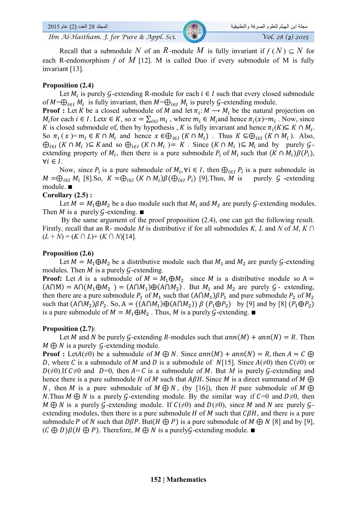Recall that a submodule N of an R-module M is fully invariant if  $f(N) \subset N$  for each R-endomorphism  $f$  of  $M$  [12]. M is called Duo if every submodule of M is fully invariant [13].

#### **Proposition (2.4)**

Let  $M_i$  is purely G-extending R-module for each  $i \in I$  such that every closed submodule of  $M=\bigoplus_{i\in I} M_i$  is fully invariant, then  $M=\bigoplus_{i\in I} M_i$  is purely G-extending module.

**Proof :** Let K be a closed submodule of M and let  $\pi_i: M \to M_i$  be the natural projection on  $M_i$  for each  $i \in I$ . Let $x \in K$ , so  $x = \sum_{i \in I} m_i$ , where  $m_i \in M_i$  and hence  $\pi_i(x)=m_i$ . Now, since K is closed submodule of, then by hypothesis , K is fully invariant and hence  $\pi_i(K) \subseteq K \cap M_i$ . So  $\pi_i(x) = m_i \in K \cap M_i$  and hence  $x \in \bigoplus_{i \in I} (K \cap M_i)$ . Thus  $K \subseteq \bigoplus_{i \in I} (K \cap M_i)$ . Also,  $\bigoplus_{i\in I} (K \cap M_i) \subseteq K$  and so  $\bigoplus_{i\in I} (K \cap M_i) = K$ . Since  $(K \cap M_i) \subseteq M_i$  and by purely  $\mathcal{G}$ extending property of  $M_i$ , then there is a pure submodule  $P_i$  of  $M_i$  such that  $(K \cap M_i)\beta(P_i)$ ,  $\forall i \in I$ .

Now, since  $P_i$  is a pure submodule of  $M_i$ ,  $\forall i \in I$ , then  $\bigoplus_{i \in I} P_i$  is a pure submodule in  $M = \bigoplus_{i \in I} M_i$  [8].So,  $K = \bigoplus_{i \in I} (K \cap M_i) \beta(\bigoplus_{i \in I} P_i)$  [9].Thus, M is purely  $G$  -extending module. ∎

#### **Corollary (2.5) :**

Let  $M = M_1 \oplus M_2$  be a duo module such that  $M_1$  and  $M_2$  are purely  $\mathcal{G}$ -extending modules. Then *M* is a purely G-extending.  $\blacksquare$ 

By the same argument of the proof proposition  $(2.4)$ , one can get the following result. Firstly, recall that an R- module *M* is distributive if for all submodules *K, L* and *N* of *M*, *K ∩*  $(L + N) = (K \cap L) + (K \cap N)[14]$ .

#### **Proposition (2.6)**

Let  $M = M_1 \oplus M_2$  be a distributive module such that  $M_1$  and  $M_2$  are purely G-extending modules. Then  $M$  is a purely  $G$ -extending.

**Proof:** Let A is a submodule of  $M = M_1 \oplus M_2$  since M is a distributive module so A =  $(A\cap M) = A\cap (M_1 \oplus M_2) = (A\cap M_1) \oplus (A\cap M_2)$ . But  $M_1$  and  $M_2$  are purely  $\mathcal{G}$ - extending, then there are a pure submodule  $P_1$  of  $M_1$  such that  $(A \cap M_1) \beta P_1$  and pure submodule  $P_2$  of  $M_2$ such that  $(A \cap M_2)\beta P_2$ . So, A =  $((A \cap M_1)\oplus(A \cap M_2)) \beta (P_1 \oplus P_2)$  by [9] and by [8]  $(P_1 \oplus P_2)$ is a pure submodule of  $M = M_1 \oplus M_2$ . Thus, M is a purely G-extending. ■

#### **Proposition (2.7)**:

Let M and N be purely G-extending R-modules such that  $ann(M) + ann(N) = R$ . Then  $M \oplus N$  is a purely G-extending module.

**Proof :** Let  $A(\neq 0)$  be a submodule of  $M \oplus N$ . Since  $ann(M) + ann(N) = R$ , then  $A = C \oplus R$ D, where C is a submodule of M and D is a submodule of N[15]. Since  $A(\neq 0)$  then  $C(\neq 0)$  or  $D(\neq 0)$ . If  $C\neq 0$  and  $D=0$ , then  $A=C$  is a submodule of M. But M is purely G-extending and hence there is a pure submodule H of M such that  $A\beta H$ . Since M is a direct summand of M  $\bigoplus$ N, then M is a pure submodule of  $M \oplus N$ , (by [16]), then H pure submodule of  $M \oplus$ N.Thus  $M \oplus N$  is a purely G-extending module. By the similar way if  $C=0$  and  $D\neq 0$ , then  $M \oplus N$  is a purely G-extending module. If  $C(\neq 0)$  and  $D(\neq 0)$ , since M and N are purely Gextending modules, then there is a pure submodule  $H$  of  $M$  such that  $C\beta H$ , and there is a pure submodule P of N such that  $D\beta P$ . But(H  $\bigoplus P$ ) is a pure submodule of M  $\bigoplus N$  [8] and by [9],  $(C \oplus D)\beta(H \oplus P)$ . Therefore,  $M \oplus N$  is a purely G-extending module.  $\blacksquare$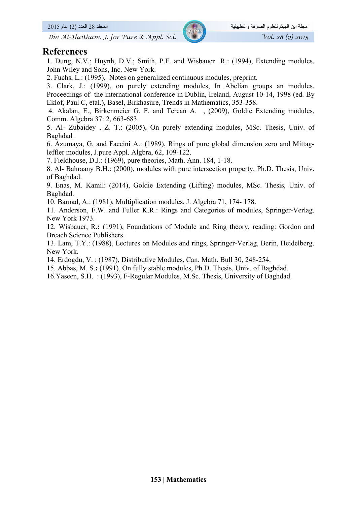#### **References**

1. Dung, N.V.; Huynh, D.V.; Smith, P.F. and Wisbauer R.: (1994), Extending modules, John Wiley and Sons, Inc. New York.

2. Fuchs, L.: (1995), Notes on generalized continuous modules, preprint.

3. Clark, J.: (1999), on purely extending modules, In Abelian groups an modules. Proceedings of the international conference in Dublin, Ireland, August 10-14, 1998 (ed. By Eklof, Paul C, etal.), Basel, Birkhasure, Trends in Mathematics, 353-358.

 4. Akalan, E., Birkenmeier G. F. and Tercan A. , (2009), Goldie Extending modules, Comm. Algebra 37: 2, 663-683.

5. Al- Zubaidey , Z. T.: (2005), On purely extending modules, MSc. Thesis, Univ. of Baghdad .

6. Azumaya, G. and Faccini A.: (1989), Rings of pure global dimension zero and Mittagleffler modules, J.pure Appl. Algbra, 62, 109-122.

7. Fieldhouse, D.J.: (1969), pure theories, Math. Ann. 184, 1-18.

8. Al- Bahraany B.H.: (2000), modules with pure intersection property, Ph.D. Thesis, Univ. of Baghdad.

9. Enas, M. Kamil: (2014), Goldie Extending (Lifting) modules, MSc. Thesis, Univ. of Baghdad.

10. Barnad, A.: (1981), Multiplication modules, J. Algebra 71, 174- 178.

11. Anderson, F.W. and Fuller K.R.: Rings and Categories of modules, Springer-Verlag. New York 1973.

12. Wisbauer, R.**:** (1991), Foundations of Module and Ring theory, reading: Gordon and Breach Science Publishers.

13. Lam, T.Y.: (1988), Lectures on Modules and rings, Springer-Verlag, Berin, Heidelberg. New York.

14. Erdogdu, V. : (1987), Distributive Modules, Can. Math. Bull 30, 248-254.

15. Abbas, M. S.**:** (1991), On fully stable modules, Ph.D. Thesis, Univ. of Baghdad.

16.Yaseen, S.H. : (1993), F-Regular Modules, M.Sc. Thesis, University of Baghdad.